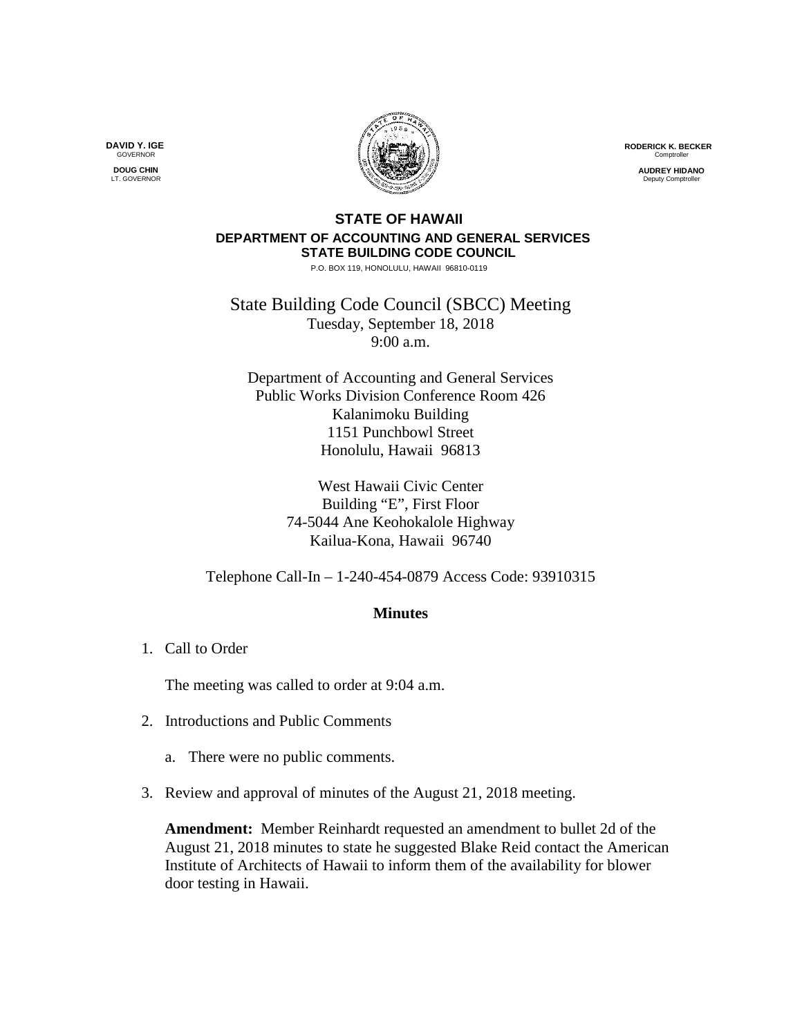**RODERICK K. BECKER** Comptrolle

> **AUDREY HIDANO Deputy Comptroll**

## **STATE OF HAWAII DEPARTMENT OF ACCOUNTING AND GENERAL SERVICES STATE BUILDING CODE COUNCIL**

P.O. BOX 119, HONOLULU, HAWAII 96810-0119

State Building Code Council (SBCC) Meeting Tuesday, September 18, 2018 9:00 a.m.

Department of Accounting and General Services Public Works Division Conference Room 426 Kalanimoku Building 1151 Punchbowl Street Honolulu, Hawaii 96813

> West Hawaii Civic Center Building "E", First Floor 74-5044 Ane Keohokalole Highway Kailua-Kona, Hawaii 96740

Telephone Call-In – 1-240-454-0879 Access Code: 93910315

## **Minutes**

1. Call to Order

The meeting was called to order at 9:04 a.m.

- 2. Introductions and Public Comments
	- a. There were no public comments.
- 3. Review and approval of minutes of the August 21, 2018 meeting.

**Amendment:** Member Reinhardt requested an amendment to bullet 2d of the August 21, 2018 minutes to state he suggested Blake Reid contact the American Institute of Architects of Hawaii to inform them of the availability for blower door testing in Hawaii.

**DAVID Y. IGE GOVERNOR DOUG CHIN**

LT. GOVERNOR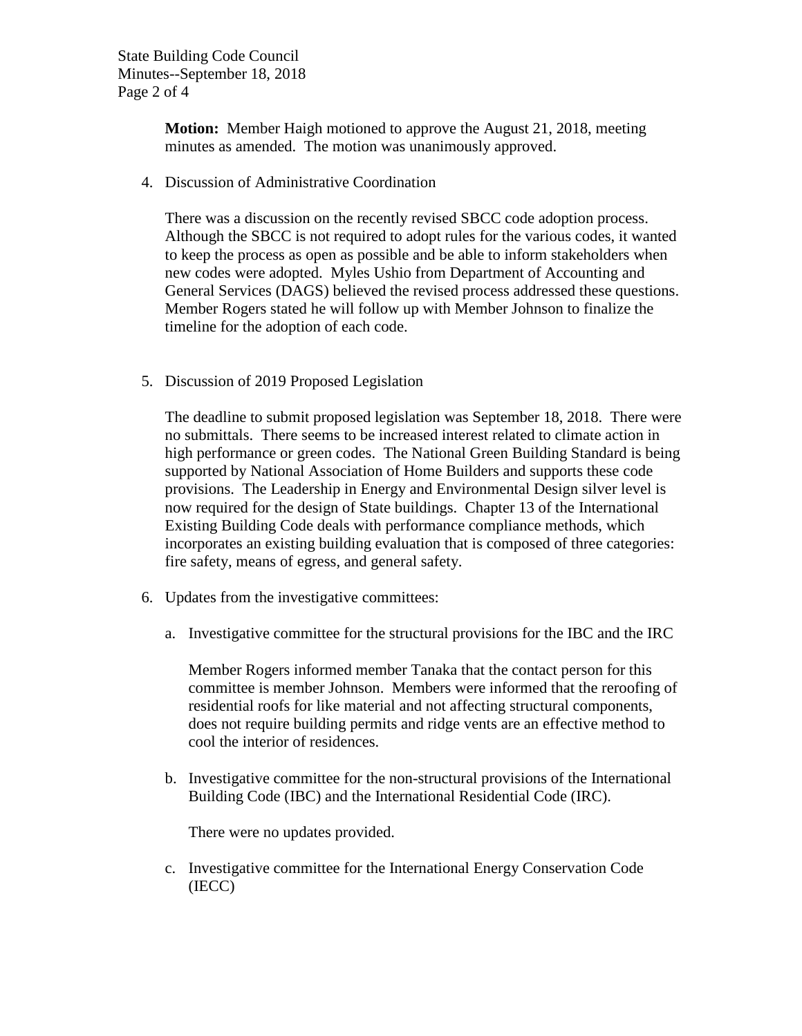State Building Code Council Minutes--September 18, 2018 Page 2 of 4

> **Motion:** Member Haigh motioned to approve the August 21, 2018, meeting minutes as amended. The motion was unanimously approved.

4. Discussion of Administrative Coordination

There was a discussion on the recently revised SBCC code adoption process. Although the SBCC is not required to adopt rules for the various codes, it wanted to keep the process as open as possible and be able to inform stakeholders when new codes were adopted. Myles Ushio from Department of Accounting and General Services (DAGS) believed the revised process addressed these questions. Member Rogers stated he will follow up with Member Johnson to finalize the timeline for the adoption of each code.

5. Discussion of 2019 Proposed Legislation

The deadline to submit proposed legislation was September 18, 2018. There were no submittals. There seems to be increased interest related to climate action in high performance or green codes. The National Green Building Standard is being supported by National Association of Home Builders and supports these code provisions. The Leadership in Energy and Environmental Design silver level is now required for the design of State buildings. Chapter 13 of the International Existing Building Code deals with performance compliance methods, which incorporates an existing building evaluation that is composed of three categories: fire safety, means of egress, and general safety.

- 6. Updates from the investigative committees:
	- a. Investigative committee for the structural provisions for the IBC and the IRC

Member Rogers informed member Tanaka that the contact person for this committee is member Johnson. Members were informed that the reroofing of residential roofs for like material and not affecting structural components, does not require building permits and ridge vents are an effective method to cool the interior of residences.

b. Investigative committee for the non-structural provisions of the International Building Code (IBC) and the International Residential Code (IRC).

There were no updates provided.

c. Investigative committee for the International Energy Conservation Code (IECC)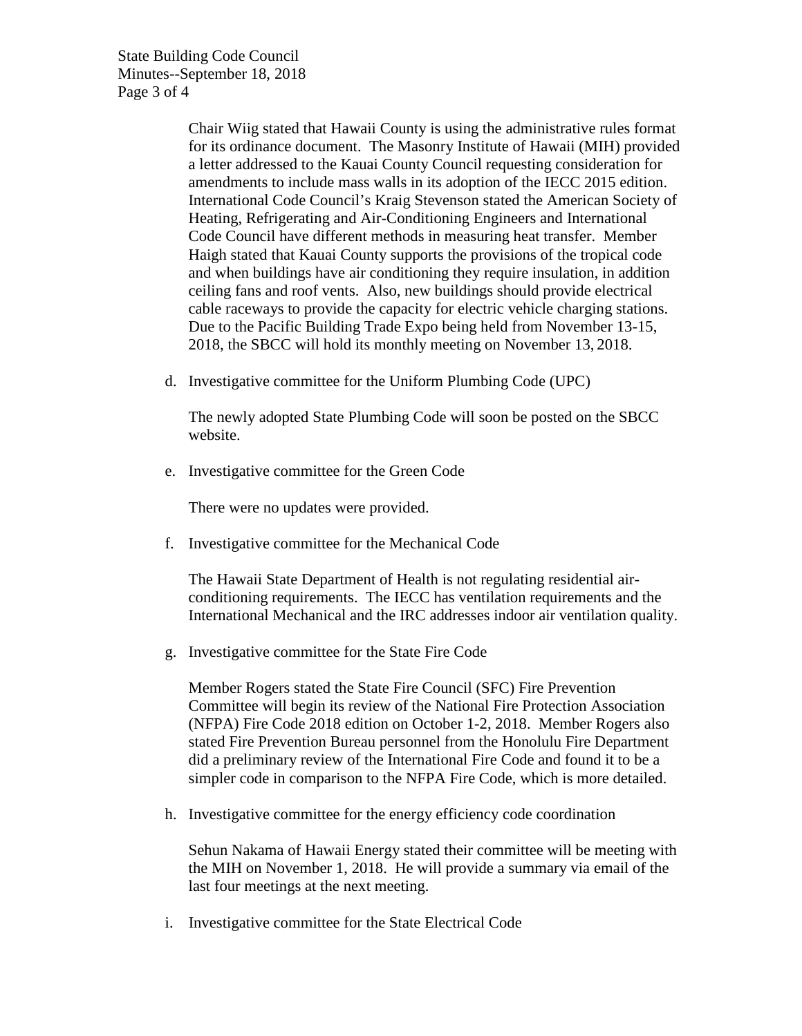State Building Code Council Minutes--September 18, 2018 Page 3 of 4

> Chair Wiig stated that Hawaii County is using the administrative rules format for its ordinance document. The Masonry Institute of Hawaii (MIH) provided a letter addressed to the Kauai County Council requesting consideration for amendments to include mass walls in its adoption of the IECC 2015 edition. International Code Council's Kraig Stevenson stated the American Society of Heating, Refrigerating and Air-Conditioning Engineers and International Code Council have different methods in measuring heat transfer. Member Haigh stated that Kauai County supports the provisions of the tropical code and when buildings have air conditioning they require insulation, in addition ceiling fans and roof vents. Also, new buildings should provide electrical cable raceways to provide the capacity for electric vehicle charging stations. Due to the Pacific Building Trade Expo being held from November 13-15, 2018, the SBCC will hold its monthly meeting on November 13, 2018.

d. Investigative committee for the Uniform Plumbing Code (UPC)

The newly adopted State Plumbing Code will soon be posted on the SBCC website.

e. Investigative committee for the Green Code

There were no updates were provided.

f. Investigative committee for the Mechanical Code

The Hawaii State Department of Health is not regulating residential airconditioning requirements. The IECC has ventilation requirements and the International Mechanical and the IRC addresses indoor air ventilation quality.

g. Investigative committee for the State Fire Code

Member Rogers stated the State Fire Council (SFC) Fire Prevention Committee will begin its review of the National Fire Protection Association (NFPA) Fire Code 2018 edition on October 1-2, 2018. Member Rogers also stated Fire Prevention Bureau personnel from the Honolulu Fire Department did a preliminary review of the International Fire Code and found it to be a simpler code in comparison to the NFPA Fire Code, which is more detailed.

h. Investigative committee for the energy efficiency code coordination

Sehun Nakama of Hawaii Energy stated their committee will be meeting with the MIH on November 1, 2018. He will provide a summary via email of the last four meetings at the next meeting.

i. Investigative committee for the State Electrical Code